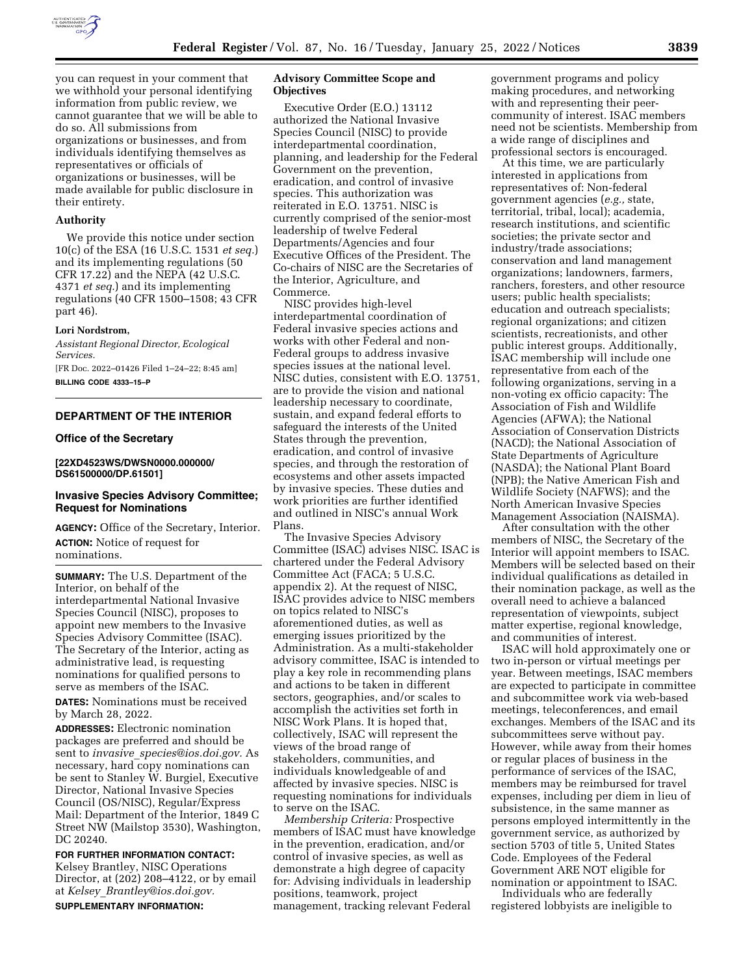

you can request in your comment that we withhold your personal identifying information from public review, we cannot guarantee that we will be able to do so. All submissions from organizations or businesses, and from individuals identifying themselves as representatives or officials of organizations or businesses, will be made available for public disclosure in their entirety.

### **Authority**

We provide this notice under section 10(c) of the ESA (16 U.S.C. 1531 *et seq.*) and its implementing regulations (50 CFR 17.22) and the NEPA (42 U.S.C. 4371 *et seq.*) and its implementing regulations (40 CFR 1500–1508; 43 CFR part 46).

#### **Lori Nordstrom,**

*Assistant Regional Director, Ecological Services.* 

[FR Doc. 2022–01426 Filed 1–24–22; 8:45 am] **BILLING CODE 4333–15–P** 

# **DEPARTMENT OF THE INTERIOR**

### **Office of the Secretary**

# **[22XD4523WS/DWSN0000.000000/ DS61500000/DP.61501]**

# **Invasive Species Advisory Committee; Request for Nominations**

**AGENCY:** Office of the Secretary, Interior. **ACTION:** Notice of request for nominations.

**SUMMARY:** The U.S. Department of the Interior, on behalf of the interdepartmental National Invasive Species Council (NISC), proposes to appoint new members to the Invasive Species Advisory Committee (ISAC). The Secretary of the Interior, acting as administrative lead, is requesting nominations for qualified persons to serve as members of the ISAC.

**DATES:** Nominations must be received by March 28, 2022.

**ADDRESSES:** Electronic nomination packages are preferred and should be sent to *invasive*\_*[species@ios.doi.gov.](mailto:invasive_species@ios.doi.gov)* As necessary, hard copy nominations can be sent to Stanley W. Burgiel, Executive Director, National Invasive Species Council (OS/NISC), Regular/Express Mail: Department of the Interior, 1849 C Street NW (Mailstop 3530), Washington, DC 20240.

**FOR FURTHER INFORMATION CONTACT:**  Kelsey Brantley, NISC Operations Director, at (202) 208–4122, or by email at *Kelsey*\_*[Brantley@ios.doi.gov.](mailto:Kelsey_Brantley@ios.doi.gov)*  **SUPPLEMENTARY INFORMATION:** 

# **Advisory Committee Scope and Objectives**

Executive Order (E.O.) 13112 authorized the National Invasive Species Council (NISC) to provide interdepartmental coordination, planning, and leadership for the Federal Government on the prevention, eradication, and control of invasive species. This authorization was reiterated in E.O. 13751. NISC is currently comprised of the senior-most leadership of twelve Federal Departments/Agencies and four Executive Offices of the President. The Co-chairs of NISC are the Secretaries of the Interior, Agriculture, and Commerce.

NISC provides high-level interdepartmental coordination of Federal invasive species actions and works with other Federal and non-Federal groups to address invasive species issues at the national level. NISC duties, consistent with E.O. 13751, are to provide the vision and national leadership necessary to coordinate, sustain, and expand federal efforts to safeguard the interests of the United States through the prevention, eradication, and control of invasive species, and through the restoration of ecosystems and other assets impacted by invasive species. These duties and work priorities are further identified and outlined in NISC's annual Work Plans.

The Invasive Species Advisory Committee (ISAC) advises NISC. ISAC is chartered under the Federal Advisory Committee Act (FACA; 5 U.S.C. appendix 2). At the request of NISC, ISAC provides advice to NISC members on topics related to NISC's aforementioned duties, as well as emerging issues prioritized by the Administration. As a multi-stakeholder advisory committee, ISAC is intended to play a key role in recommending plans and actions to be taken in different sectors, geographies, and/or scales to accomplish the activities set forth in NISC Work Plans. It is hoped that, collectively, ISAC will represent the views of the broad range of stakeholders, communities, and individuals knowledgeable of and affected by invasive species. NISC is requesting nominations for individuals to serve on the ISAC.

*Membership Criteria:* Prospective members of ISAC must have knowledge in the prevention, eradication, and/or control of invasive species, as well as demonstrate a high degree of capacity for: Advising individuals in leadership positions, teamwork, project management, tracking relevant Federal

government programs and policy making procedures, and networking with and representing their peercommunity of interest. ISAC members need not be scientists. Membership from a wide range of disciplines and professional sectors is encouraged.

At this time, we are particularly interested in applications from representatives of: Non-federal government agencies (*e.g.,* state, territorial, tribal, local); academia, research institutions, and scientific societies; the private sector and industry/trade associations; conservation and land management organizations; landowners, farmers, ranchers, foresters, and other resource users; public health specialists; education and outreach specialists; regional organizations; and citizen scientists, recreationists, and other public interest groups. Additionally, ISAC membership will include one representative from each of the following organizations, serving in a non-voting ex officio capacity: The Association of Fish and Wildlife Agencies (AFWA); the National Association of Conservation Districts (NACD); the National Association of State Departments of Agriculture (NASDA); the National Plant Board (NPB); the Native American Fish and Wildlife Society (NAFWS); and the North American Invasive Species Management Association (NAISMA).

After consultation with the other members of NISC, the Secretary of the Interior will appoint members to ISAC. Members will be selected based on their individual qualifications as detailed in their nomination package, as well as the overall need to achieve a balanced representation of viewpoints, subject matter expertise, regional knowledge, and communities of interest.

ISAC will hold approximately one or two in-person or virtual meetings per year. Between meetings, ISAC members are expected to participate in committee and subcommittee work via web-based meetings, teleconferences, and email exchanges. Members of the ISAC and its subcommittees serve without pay. However, while away from their homes or regular places of business in the performance of services of the ISAC, members may be reimbursed for travel expenses, including per diem in lieu of subsistence, in the same manner as persons employed intermittently in the government service, as authorized by section 5703 of title 5, United States Code. Employees of the Federal Government ARE NOT eligible for nomination or appointment to ISAC.

Individuals who are federally registered lobbyists are ineligible to